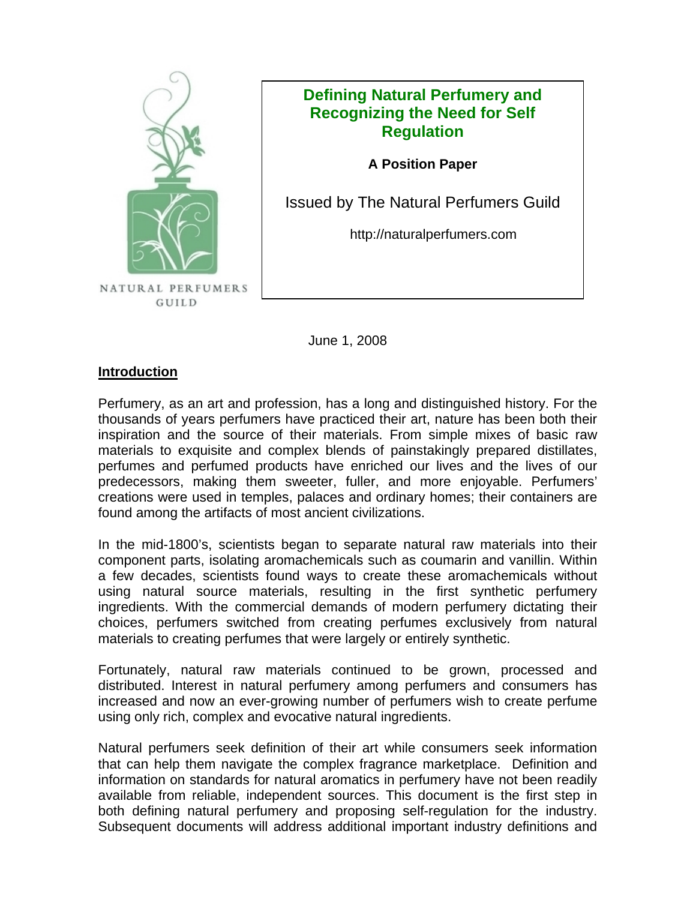

## **Defining Natural Perfumery and Recognizing the Need for Self Regulation**

**A Position Paper**

Issued by The Natural Perfumers Guild

http://naturalperfumers.com

June 1, 2008

## **Introduction**

Perfumery, as an art and profession, has a long and distinguished history. For the thousands of years perfumers have practiced their art, nature has been both their inspiration and the source of their materials. From simple mixes of basic raw materials to exquisite and complex blends of painstakingly prepared distillates, perfumes and perfumed products have enriched our lives and the lives of our predecessors, making them sweeter, fuller, and more enjoyable. Perfumers' creations were used in temples, palaces and ordinary homes; their containers are found among the artifacts of most ancient civilizations.

In the mid-1800's, scientists began to separate natural raw materials into their component parts, isolating aromachemicals such as coumarin and vanillin. Within a few decades, scientists found ways to create these aromachemicals without using natural source materials, resulting in the first synthetic perfumery ingredients. With the commercial demands of modern perfumery dictating their choices, perfumers switched from creating perfumes exclusively from natural materials to creating perfumes that were largely or entirely synthetic.

Fortunately, natural raw materials continued to be grown, processed and distributed. Interest in natural perfumery among perfumers and consumers has increased and now an ever-growing number of perfumers wish to create perfume using only rich, complex and evocative natural ingredients.

Natural perfumers seek definition of their art while consumers seek information that can help them navigate the complex fragrance marketplace. Definition and information on standards for natural aromatics in perfumery have not been readily available from reliable, independent sources. This document is the first step in both defining natural perfumery and proposing self-regulation for the industry. Subsequent documents will address additional important industry definitions and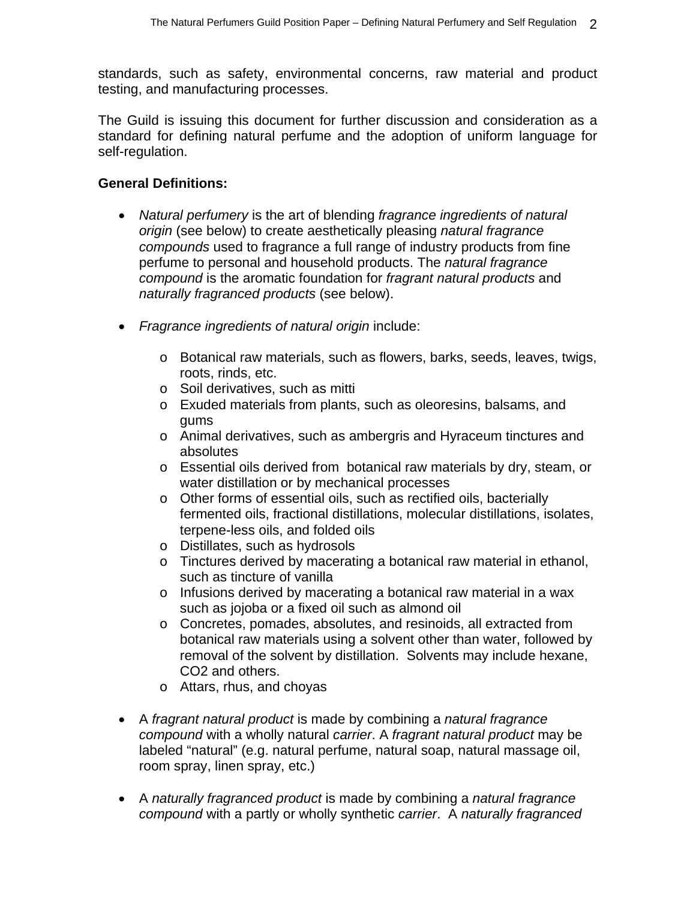standards, such as safety, environmental concerns, raw material and product testing, and manufacturing processes.

The Guild is issuing this document for further discussion and consideration as a standard for defining natural perfume and the adoption of uniform language for self-regulation.

## **General Definitions:**

- *Natural perfumery* is the art of blending *fragrance ingredients of natural origin* (see below) to create aesthetically pleasing *natural fragrance compounds* used to fragrance a full range of industry products from fine perfume to personal and household products. The *natural fragrance compound* is the aromatic foundation for *fragrant natural products* and *naturally fragranced products* (see below).
- *Fragrance ingredients of natural origin* include:
	- o Botanical raw materials, such as flowers, barks, seeds, leaves, twigs, roots, rinds, etc.
	- o Soil derivatives, such as mitti
	- o Exuded materials from plants, such as oleoresins, balsams, and gums
	- o Animal derivatives, such as ambergris and Hyraceum tinctures and absolutes
	- o Essential oils derived from botanical raw materials by dry, steam, or water distillation or by mechanical processes
	- o Other forms of essential oils, such as rectified oils, bacterially fermented oils, fractional distillations, molecular distillations, isolates, terpene-less oils, and folded oils
	- o Distillates, such as hydrosols
	- o Tinctures derived by macerating a botanical raw material in ethanol, such as tincture of vanilla
	- o Infusions derived by macerating a botanical raw material in a wax such as jojoba or a fixed oil such as almond oil
	- o Concretes, pomades, absolutes, and resinoids, all extracted from botanical raw materials using a solvent other than water, followed by removal of the solvent by distillation. Solvents may include hexane, CO2 and others.
	- o Attars, rhus, and choyas
- A *fragrant natural product* is made by combining a *natural fragrance compound* with a wholly natural *carrier*. A *fragrant natural product* may be labeled "natural" (e.g. natural perfume, natural soap, natural massage oil, room spray, linen spray, etc.)
- A *naturally fragranced product* is made by combining a *natural fragrance compound* with a partly or wholly synthetic *carrier*. A *naturally fragranced*